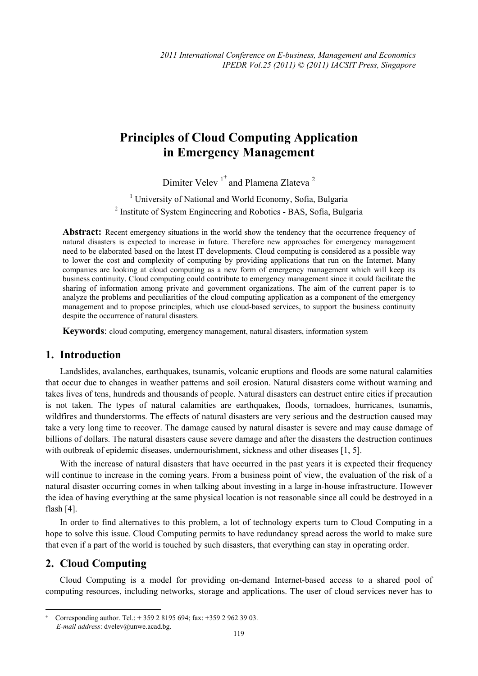# **Principles of Cloud Computing Application in Emergency Management**

Dimiter Velev<sup>1+</sup> and Plamena Zlateva<sup>2</sup>

<sup>1</sup> University of National and World Economy, Sofia, Bulgaria <sup>2</sup> Institute of System Engineering and Robotics - BAS, Sofia, Bulgaria

Abstract: Recent emergency situations in the world show the tendency that the occurrence frequency of natural disasters is expected to increase in future. Therefore new approaches for emergency management need to be elaborated based on the latest IT developments. Cloud computing is considered as a possible way to lower the cost and complexity of computing by providing applications that run on the Internet. Many companies are looking at cloud computing as a new form of emergency management which will keep its business continuity. Cloud computing could contribute to emergency management since it could facilitate the sharing of information among private and government organizations. The aim of the current paper is to analyze the problems and peculiarities of the cloud computing application as a component of the emergency management and to propose principles, which use cloud-based services, to support the business continuity despite the occurrence of natural disasters.

**Keywords**: cloud computing, emergency management, natural disasters, information system

#### **1. Introduction**

Landslides, avalanches, earthquakes, tsunamis, volcanic eruptions and floods are some natural calamities that occur due to changes in weather patterns and soil erosion. Natural disasters come without warning and takes lives of tens, hundreds and thousands of people. Natural disasters can destruct entire cities if precaution is not taken. The types of natural calamities are earthquakes, floods, tornadoes, hurricanes, tsunamis, wildfires and thunderstorms. The effects of natural disasters are very serious and the destruction caused may take a very long time to recover. The damage caused by natural disaster is severe and may cause damage of billions of dollars. The natural disasters cause severe damage and after the disasters the destruction continues with outbreak of epidemic diseases, undernourishment, sickness and other diseases [1, 5].

With the increase of natural disasters that have occurred in the past years it is expected their frequency will continue to increase in the coming years. From a business point of view, the evaluation of the risk of a natural disaster occurring comes in when talking about investing in a large in-house infrastructure. However the idea of having everything at the same physical location is not reasonable since all could be destroyed in a flash [4].

In order to find alternatives to this problem, a lot of technology experts turn to Cloud Computing in a hope to solve this issue. Cloud Computing permits to have redundancy spread across the world to make sure that even if a part of the world is touched by such disasters, that everything can stay in operating order.

### **2. Cloud Computing**

 $\overline{a}$ 

Cloud Computing is a model for providing on-demand Internet-based access to a shared pool of computing resources, including networks, storage and applications. The user of cloud services never has to

Corresponding author. Tel.: + 359 2 8195 694; fax: +359 2 962 39 03. *E-mail address*: dvelev@unwe.acad.bg.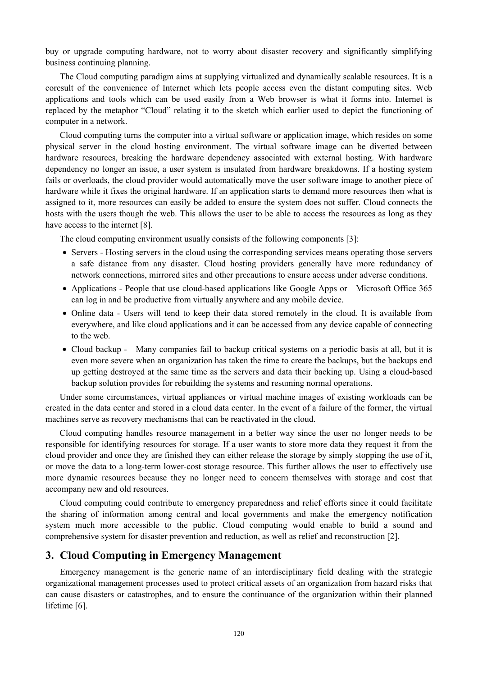buy or upgrade computing hardware, not to worry about disaster recovery and significantly simplifying business continuing planning.

The Cloud computing paradigm aims at supplying virtualized and dynamically scalable resources. It is a coresult of the convenience of Internet which lets people access even the distant computing sites. Web applications and tools which can be used easily from a Web browser is what it forms into. Internet is replaced by the metaphor "Cloud" relating it to the sketch which earlier used to depict the functioning of computer in a network.

Cloud computing turns the computer into a virtual software or application image, which resides on some physical server in the cloud hosting environment. The virtual software image can be diverted between hardware resources, breaking the hardware dependency associated with external hosting. With hardware dependency no longer an issue, a user system is insulated from hardware breakdowns. If a hosting system fails or overloads, the cloud provider would automatically move the user software image to another piece of hardware while it fixes the original hardware. If an application starts to demand more resources then what is assigned to it, more resources can easily be added to ensure the system does not suffer. Cloud connects the hosts with the users though the web. This allows the user to be able to access the resources as long as they have access to the internet [8].

The cloud computing environment usually consists of the following components [3]:

- Servers Hosting servers in the cloud using the corresponding services means operating those servers a safe distance from any disaster. Cloud hosting providers generally have more redundancy of network connections, mirrored sites and other precautions to ensure access under adverse conditions.
- Applications People that use cloud-based applications like Google Apps or Microsoft Office 365 can log in and be productive from virtually anywhere and any mobile device.
- Online data Users will tend to keep their data stored remotely in the cloud. It is available from everywhere, and like cloud applications and it can be accessed from any device capable of connecting to the web.
- Cloud backup Many companies fail to backup critical systems on a periodic basis at all, but it is even more severe when an organization has taken the time to create the backups, but the backups end up getting destroyed at the same time as the servers and data their backing up. Using a cloud-based backup solution provides for rebuilding the systems and resuming normal operations.

Under some circumstances, virtual appliances or virtual machine images of existing workloads can be created in the data center and stored in a cloud data center. In the event of a failure of the former, the virtual machines serve as recovery mechanisms that can be reactivated in the cloud.

Cloud computing handles resource management in a better way since the user no longer needs to be responsible for identifying resources for storage. If a user wants to store more data they request it from the cloud provider and once they are finished they can either release the storage by simply stopping the use of it, or move the data to a long-term lower-cost storage resource. This further allows the user to effectively use more dynamic resources because they no longer need to concern themselves with storage and cost that accompany new and old resources.

Cloud computing could contribute to emergency preparedness and relief efforts since it could facilitate the sharing of information among central and local governments and make the emergency notification system much more accessible to the public. Cloud computing would enable to build a sound and comprehensive system for disaster prevention and reduction, as well as relief and reconstruction [2].

#### **3. Cloud Computing in Emergency Management**

Emergency management is the generic name of an interdisciplinary field dealing with the strategic organizational management processes used to protect critical assets of an organization from hazard risks that can cause disasters or catastrophes, and to ensure the continuance of the organization within their planned lifetime [6].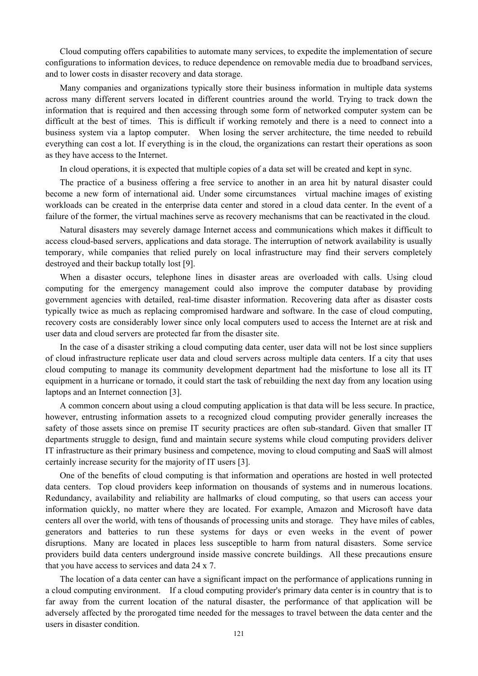Cloud computing offers capabilities to automate many services, to expedite the implementation of secure configurations to information devices, to reduce dependence on removable media due to broadband services, and to lower costs in disaster recovery and data storage.

Many companies and organizations typically store their business information in multiple data systems across many different servers located in different countries around the world. Trying to track down the information that is required and then accessing through some form of networked computer system can be difficult at the best of times. This is difficult if working remotely and there is a need to connect into a business system via a laptop computer. When losing the server architecture, the time needed to rebuild everything can cost a lot. If everything is in the cloud, the organizations can restart their operations as soon as they have access to the Internet.

In cloud operations, it is expected that multiple copies of a data set will be created and kept in sync.

The practice of a business offering a free service to another in an area hit by natural disaster could become a new form of international aid. Under some circumstances virtual machine images of existing workloads can be created in the enterprise data center and stored in a cloud data center. In the event of a failure of the former, the virtual machines serve as recovery mechanisms that can be reactivated in the cloud.

Natural disasters may severely damage Internet access and communications which makes it difficult to access cloud-based servers, applications and data storage. The interruption of network availability is usually temporary, while companies that relied purely on local infrastructure may find their servers completely destroyed and their backup totally lost [9].

When a disaster occurs, telephone lines in disaster areas are overloaded with calls. Using cloud computing for the emergency management could also improve the computer database by providing government agencies with detailed, real-time disaster information. Recovering data after as disaster costs typically twice as much as replacing compromised hardware and software. In the case of cloud computing, recovery costs are considerably lower since only local computers used to access the Internet are at risk and user data and cloud servers are protected far from the disaster site.

In the case of a disaster striking a cloud computing data center, user data will not be lost since suppliers of cloud infrastructure replicate user data and cloud servers across multiple data centers. If a city that uses cloud computing to manage its community development department had the misfortune to lose all its IT equipment in a hurricane or tornado, it could start the task of rebuilding the next day from any location using laptops and an Internet connection [3].

A common concern about using a cloud computing application is that data will be less secure. In practice, however, entrusting information assets to a recognized cloud computing provider generally increases the safety of those assets since on premise IT security practices are often sub-standard. Given that smaller IT departments struggle to design, fund and maintain secure systems while cloud computing providers deliver IT infrastructure as their primary business and competence, moving to cloud computing and SaaS will almost certainly increase security for the majority of IT users [3].

One of the benefits of cloud computing is that information and operations are hosted in well protected data centers. Top cloud providers keep information on thousands of systems and in numerous locations. Redundancy, availability and reliability are hallmarks of cloud computing, so that users can access your information quickly, no matter where they are located. For example, Amazon and Microsoft have data centers all over the world, with tens of thousands of processing units and storage. They have miles of cables, generators and batteries to run these systems for days or even weeks in the event of power disruptions. Many are located in places less susceptible to harm from natural disasters. Some service providers build data centers underground inside massive concrete buildings. All these precautions ensure that you have access to services and data 24 x 7.

The location of a data center can have a significant impact on the performance of applications running in a cloud computing environment. If a cloud computing provider's primary data center is in country that is to far away from the current location of the natural disaster, the performance of that application will be adversely affected by the prorogated time needed for the messages to travel between the data center and the users in disaster condition.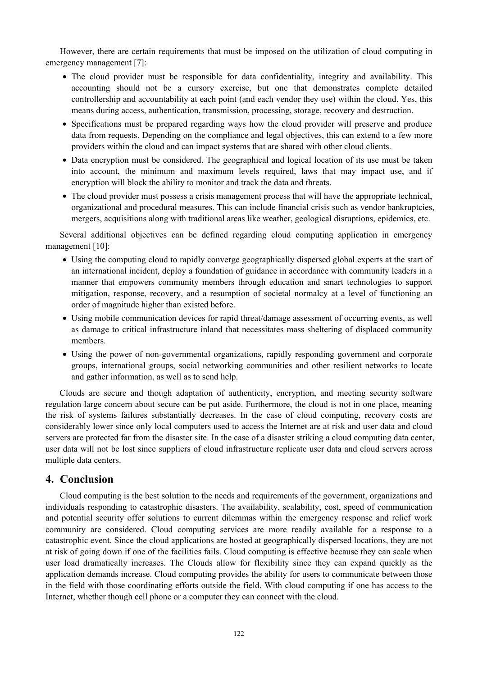However, there are certain requirements that must be imposed on the utilization of cloud computing in emergency management [7]:

- The cloud provider must be responsible for data confidentiality, integrity and availability. This accounting should not be a cursory exercise, but one that demonstrates complete detailed controllership and accountability at each point (and each vendor they use) within the cloud. Yes, this means during access, authentication, transmission, processing, storage, recovery and destruction.
- Specifications must be prepared regarding ways how the cloud provider will preserve and produce data from requests. Depending on the compliance and legal objectives, this can extend to a few more providers within the cloud and can impact systems that are shared with other cloud clients.
- Data encryption must be considered. The geographical and logical location of its use must be taken into account, the minimum and maximum levels required, laws that may impact use, and if encryption will block the ability to monitor and track the data and threats.
- The cloud provider must possess a crisis management process that will have the appropriate technical, organizational and procedural measures. This can include financial crisis such as vendor bankruptcies, mergers, acquisitions along with traditional areas like weather, geological disruptions, epidemics, etc.

Several additional objectives can be defined regarding cloud computing application in emergency management [10]:

- Using the computing cloud to rapidly converge geographically dispersed global experts at the start of an international incident, deploy a foundation of guidance in accordance with community leaders in a manner that empowers community members through education and smart technologies to support mitigation, response, recovery, and a resumption of societal normalcy at a level of functioning an order of magnitude higher than existed before.
- Using mobile communication devices for rapid threat/damage assessment of occurring events, as well as damage to critical infrastructure inland that necessitates mass sheltering of displaced community members.
- Using the power of non-governmental organizations, rapidly responding government and corporate groups, international groups, social networking communities and other resilient networks to locate and gather information, as well as to send help.

Clouds are secure and though adaptation of authenticity, encryption, and meeting security software regulation large concern about secure can be put aside. Furthermore, the cloud is not in one place, meaning the risk of systems failures substantially decreases. In the case of cloud computing, recovery costs are considerably lower since only local computers used to access the Internet are at risk and user data and cloud servers are protected far from the disaster site. In the case of a disaster striking a cloud computing data center, user data will not be lost since suppliers of cloud infrastructure replicate user data and cloud servers across multiple data centers.

## **4. Conclusion**

Cloud computing is the best solution to the needs and requirements of the government, organizations and individuals responding to catastrophic disasters. The availability, scalability, cost, speed of communication and potential security offer solutions to current dilemmas within the emergency response and relief work community are considered. Cloud computing services are more readily available for a response to a catastrophic event. Since the cloud applications are hosted at geographically dispersed locations, they are not at risk of going down if one of the facilities fails. Cloud computing is effective because they can scale when user load dramatically increases. The Clouds allow for flexibility since they can expand quickly as the application demands increase. Cloud computing provides the ability for users to communicate between those in the field with those coordinating efforts outside the field. With cloud computing if one has access to the Internet, whether though cell phone or a computer they can connect with the cloud.